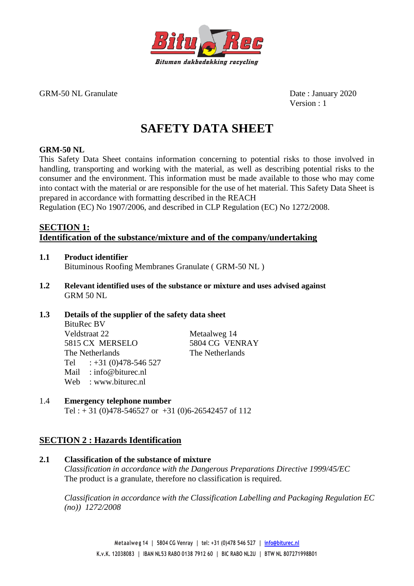

GRM-50 NL Granulate Date : January 2020

Version : 1

# **SAFETY DATA SHEET**

# **GRM-50 NL**

This Safety Data Sheet contains information concerning to potential risks to those involved in handling, transporting and working with the material, as well as describing potential risks to the consumer and the environment. This information must be made available to those who may come into contact with the material or are responsible for the use of het material. This Safety Data Sheet is prepared in accordance with formatting described in the REACH

Regulation (EC) No 1907/2006, and described in CLP Regulation (EC) No 1272/2008.

# **SECTION 1: Identification of the substance/mixture and of the company/undertaking**

- **1.1 Product identifier** Bituminous Roofing Membranes Granulate ( GRM-50 NL )
- **1.2 Relevant identified uses of the substance or mixture and uses advised against** GRM 50 NL

### **1.3 Details of the supplier of the safety data sheet** BituRec BV Veldstraat 22 Metaalweg 14 5815 CX MERSELO 5804 CG VENRAY The Netherlands The Netherlands Tel  $: +31(0)478-546527$ Mail : info@biturec.nl Web : www.biturec.nl

# 1.4 **Emergency telephone number**

Tel :  $+31$  (0)478-546527 or  $+31$  (0)6-26542457 of 112

# **SECTION 2 : Hazards Identification**

### **2.1 Classification of the substance of mixture**

*Classification in accordance with the Dangerous Preparations Directive 1999/45/EC* The product is a granulate, therefore no classification is required.

*Classification in accordance with the Classification Labelling and Packaging Regulation EC (no)) 1272/2008*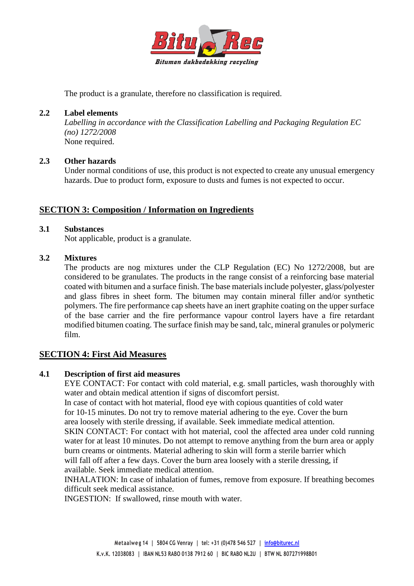

The product is a granulate, therefore no classification is required.

# **2.2 Label elements**

*Labelling in accordance with the Classification Labelling and Packaging Regulation EC (no) 1272/2008* None required.

### **2.3 Other hazards**

Under normal conditions of use, this product is not expected to create any unusual emergency hazards. Due to product form, exposure to dusts and fumes is not expected to occur.

# **SECTION 3: Composition / Information on Ingredients**

### **3.1 Substances**

Not applicable, product is a granulate.

### **3.2 Mixtures**

The products are nog mixtures under the CLP Regulation (EC) No 1272/2008, but are considered to be granulates. The products in the range consist of a reinforcing base material coated with bitumen and a surface finish. The base materials include polyester, glass/polyester and glass fibres in sheet form. The bitumen may contain mineral filler and/or synthetic polymers. The fire performance cap sheets have an inert graphite coating on the upper surface of the base carrier and the fire performance vapour control layers have a fire retardant modified bitumen coating. The surface finish may be sand, talc, mineral granules or polymeric film.

# **SECTION 4: First Aid Measures**

### **4.1 Description of first aid measures**

EYE CONTACT: For contact with cold material, e.g. small particles, wash thoroughly with water and obtain medical attention if signs of discomfort persist.

In case of contact with hot material, flood eye with copious quantities of cold water for 10-15 minutes. Do not try to remove material adhering to the eye. Cover the burn area loosely with sterile dressing, if available. Seek immediate medical attention. SKIN CONTACT: For contact with hot material, cool the affected area under cold running water for at least 10 minutes. Do not attempt to remove anything from the burn area or apply burn creams or ointments. Material adhering to skin will form a sterile barrier which will fall off after a few days. Cover the burn area loosely with a sterile dressing, if available. Seek immediate medical attention.

INHALATION: In case of inhalation of fumes, remove from exposure. If breathing becomes difficult seek medical assistance.

INGESTION: If swallowed, rinse mouth with water.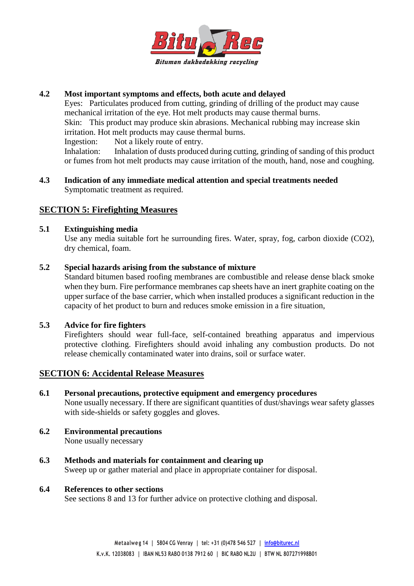

# **4.2 Most important symptoms and effects, both acute and delayed**

Eyes: Particulates produced from cutting, grinding of drilling of the product may cause mechanical irritation of the eye. Hot melt products may cause thermal burns. Skin: This product may produce skin abrasions. Mechanical rubbing may increase skin irritation. Hot melt products may cause thermal burns.

Ingestion: Not a likely route of entry.

Inhalation: Inhalation of dusts produced during cutting, grinding of sanding of this product or fumes from hot melt products may cause irritation of the mouth, hand, nose and coughing.

**4.3 Indication of any immediate medical attention and special treatments needed** Symptomatic treatment as required.

# **SECTION 5: Firefighting Measures**

### **5.1 Extinguishing media**

Use any media suitable fort he surrounding fires. Water, spray, fog, carbon dioxide (CO2), dry chemical, foam.

### **5.2 Special hazards arising from the substance of mixture**

Standard bitumen based roofing membranes are combustible and release dense black smoke when they burn. Fire performance membranes cap sheets have an inert graphite coating on the upper surface of the base carrier, which when installed produces a significant reduction in the capacity of het product to burn and reduces smoke emission in a fire situation,

# **5.3 Advice for fire fighters**

Firefighters should wear full-face, self-contained breathing apparatus and impervious protective clothing. Firefighters should avoid inhaling any combustion products. Do not release chemically contaminated water into drains, soil or surface water.

# **SECTION 6: Accidental Release Measures**

**6.1 Personal precautions, protective equipment and emergency procedures**

None usually necessary. If there are significant quantities of dust/shavings wear safety glasses with side-shields or safety goggles and gloves.

- **6.2 Environmental precautions** None usually necessary
- **6.3 Methods and materials for containment and clearing up** Sweep up or gather material and place in appropriate container for disposal.

### **6.4 References to other sections**

See sections 8 and 13 for further advice on protective clothing and disposal.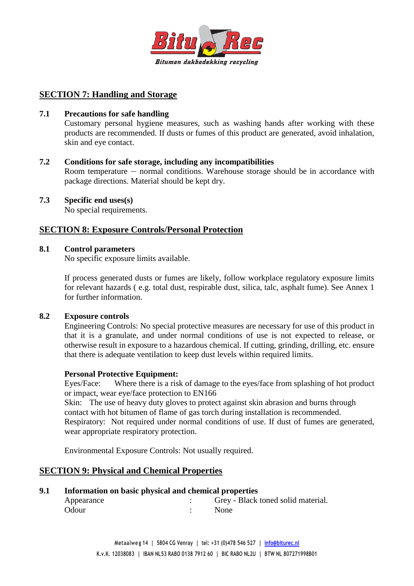

# **SECTION 7: Handling and Storage**

### **7.1 Precautions for safe handling**

Customary personal hygiene measures, such as washing hands after working with these products are recommended. If dusts or fumes of this product are generated, avoid inhalation, skin and eye contact.

### **7.2 Conditions for safe storage, including any incompatibilities**

Room temperature — normal conditions. Warehouse storage should be in accordance with package directions. Material should be kept dry.

### **7.3 Specific end uses(s)**

No special requirements.

# **SECTION 8: Exposure Controls/Personal Protection**

### **8.1 Control parameters**

No specific exposure limits available.

If process generated dusts or fumes are likely, follow workplace regulatory exposure limits for relevant hazards ( e.g. total dust, respirable dust, silica, talc, asphalt fume). See Annex 1 for further information.

### **8.2 Exposure controls**

Engineering Controls: No special protective measures are necessary for use of this product in that it is a granulate, and under normal conditions of use is not expected to release, or otherwise result in exposure to a hazardous chemical. If cutting, grinding, drilling, etc. ensure that there is adequate ventilation to keep dust levels within required limits.

### **Personal Protective Equipment:**

Eyes/Face: Where there is a risk of damage to the eyes/face from splashing of hot product or impact, wear eye/face protection to EN166

Skin: The use of heavy duty gloves to protect against skin abrasion and burns through contact with hot bitumen of flame of gas torch during installation is recommended. Respiratory: Not required under normal conditions of use. If dust of fumes are generated, wear appropriate respiratory protection.

Environmental Exposure Controls: Not usually required.

# **SECTION 9: Physical and Chemical Properties**

### **9.1 Information on basic physical and chemical properties**

| Appearance | Grey - Black toned solid material. |
|------------|------------------------------------|
| Odour      | <b>None</b>                        |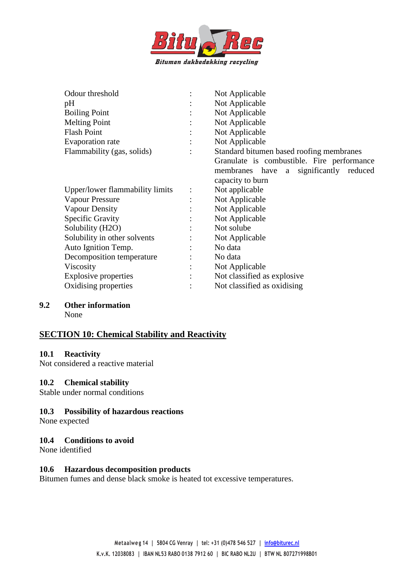

| Odour threshold                 | $\ddot{\cdot}$       | Not Applicable                             |
|---------------------------------|----------------------|--------------------------------------------|
| pH                              |                      | Not Applicable                             |
| <b>Boiling Point</b>            |                      | Not Applicable                             |
| <b>Melting Point</b>            |                      | Not Applicable                             |
| <b>Flash Point</b>              | $\ddot{\cdot}$       | Not Applicable                             |
| Evaporation rate                |                      | Not Applicable                             |
| Flammability (gas, solids)      |                      | Standard bitumen based roofing membranes   |
|                                 |                      | Granulate is combustible. Fire performance |
|                                 |                      | membranes have a significantly reduced     |
|                                 |                      | capacity to burn                           |
| Upper/lower flammability limits | $\ddot{\cdot}$       | Not applicable                             |
| <b>Vapour Pressure</b>          | $\ddot{\phantom{a}}$ | Not Applicable                             |
| <b>Vapour Density</b>           |                      | Not Applicable                             |
| <b>Specific Gravity</b>         |                      | Not Applicable                             |
| Solubility (H2O)                | ٠                    | Not solube                                 |
| Solubility in other solvents    |                      | Not Applicable                             |
| Auto Ignition Temp.             |                      | No data                                    |
| Decomposition temperature       |                      | No data                                    |
| Viscosity                       | $\ddot{\phantom{a}}$ | Not Applicable                             |
| Explosive properties            |                      | Not classified as explosive                |
| Oxidising properties            |                      | Not classified as oxidising                |
|                                 |                      |                                            |

#### **9.2 Other information**

None

# **SECTION 10: Chemical Stability and Reactivity**

#### **10.1 Reactivity**

Not considered a reactive material

### **10.2 Chemical stability**

Stable under normal conditions

### **10.3 Possibility of hazardous reactions**

None expected

### **10.4 Conditions to avoid**

None identified

### **10.6 Hazardous decomposition products**

Bitumen fumes and dense black smoke is heated tot excessive temperatures.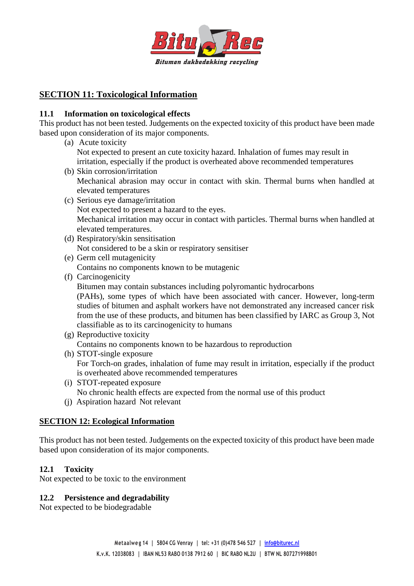

# **SECTION 11: Toxicological Information**

# **11.1 Information on toxicological effects**

This product has not been tested. Judgements on the expected toxicity of this product have been made based upon consideration of its major components.

- (a) Acute toxicity Not expected to present an cute toxicity hazard. Inhalation of fumes may result in irritation, especially if the product is overheated above recommended temperatures
- (b) Skin corrosion/irritation Mechanical abrasion may occur in contact with skin. Thermal burns when handled at elevated temperatures
- (c) Serious eye damage/irritation Not expected to present a hazard to the eyes. Mechanical irritation may occur in contact with particles. Thermal burns when handled at elevated temperatures.
- (d) Respiratory/skin sensitisation Not considered to be a skin or respiratory sensitiser
- (e) Germ cell mutagenicity Contains no components known to be mutagenic
- (f) Carcinogenicity Bitumen may contain substances including polyromantic hydrocarbons (PAHs), some types of which have been associated with cancer. However, long-term studies of bitumen and asphalt workers have not demonstrated any increased cancer risk from the use of these products, and bitumen has been classified by IARC as Group 3, Not classifiable as to its carcinogenicity to humans
- (g) Reproductive toxicity Contains no components known to be hazardous to reproduction
- (h) STOT-single exposure For Torch-on grades, inhalation of fume may result in irritation, especially if the product is overheated above recommended temperatures
- (i) STOT-repeated exposure No chronic health effects are expected from the normal use of this product
- (j) Aspiration hazard Not relevant

# **SECTION 12: Ecological Information**

This product has not been tested. Judgements on the expected toxicity of this product have been made based upon consideration of its major components.

# **12.1 Toxicity**

Not expected to be toxic to the environment

# **12.2 Persistence and degradability**

Not expected to be biodegradable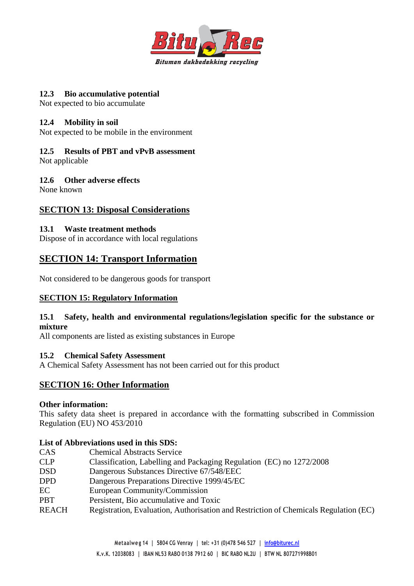

### **12.3 Bio accumulative potential**

Not expected to bio accumulate

### **12.4 Mobility in soil**

Not expected to be mobile in the environment

# **12.5 Results of PBT and vPvB assessment**

Not applicable

# **12.6 Other adverse effects**

None known

# **SECTION 13: Disposal Considerations**

# **13.1 Waste treatment methods**

Dispose of in accordance with local regulations

# **SECTION 14: Transport Information**

Not considered to be dangerous goods for transport

# **SECTION 15: Regulatory Information**

# **15.1 Safety, health and environmental regulations/legislation specific for the substance or mixture**

All components are listed as existing substances in Europe

# **15.2 Chemical Safety Assessment**

A Chemical Safety Assessment has not been carried out for this product

# **SECTION 16: Other Information**

### **Other information:**

This safety data sheet is prepared in accordance with the formatting subscribed in Commission Regulation (EU) NO 453/2010

# **List of Abbreviations used in this SDS:**

| <b>CAS</b>   | <b>Chemical Abstracts Service</b>                                                    |
|--------------|--------------------------------------------------------------------------------------|
| <b>CLP</b>   | Classification, Labelling and Packaging Regulation (EC) no 1272/2008                 |
| <b>DSD</b>   | Dangerous Substances Directive 67/548/EEC                                            |
| <b>DPD</b>   | Dangerous Preparations Directive 1999/45/EC                                          |
| EC           | European Community/Commission                                                        |
| <b>PBT</b>   | Persistent, Bio accumulative and Toxic                                               |
| <b>REACH</b> | Registration, Evaluation, Authorisation and Restriction of Chemicals Regulation (EC) |